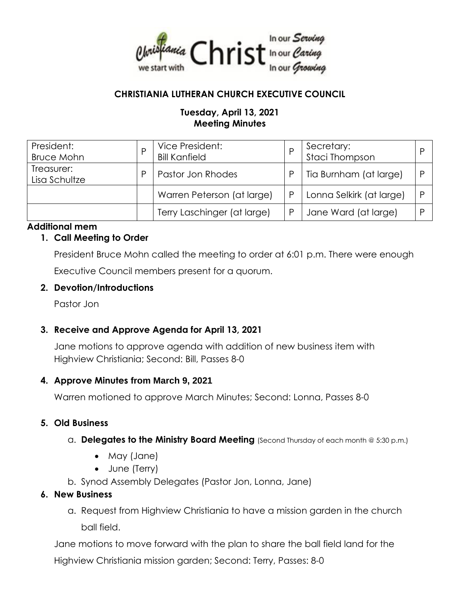

# **CHRISTIANIA LUTHERAN CHURCH EXECUTIVE COUNCIL**

# **Tuesday, April 13, 2021 Meeting Minutes**

| President:<br><b>Bruce Mohn</b> |   | Vice President:<br><b>Bill Kanfield</b> | Secretary:<br><b>Staci Thompson</b> |  |
|---------------------------------|---|-----------------------------------------|-------------------------------------|--|
| Treasurer:<br>Lisa Schultze     | D | Pastor Jon Rhodes                       | Tia Burnham (at large)              |  |
|                                 |   | Warren Peterson (at large)              | Lonna Selkirk (at large)            |  |
|                                 |   | Terry Laschinger (at large)             | Jane Ward (at large)                |  |

## **Additional mem**

## **1. Call Meeting to Order**

President Bruce Mohn called the meeting to order at 6:01 p.m. There were enough Executive Council members present for a quorum.

#### **2. Devotion/Introductions**

Pastor Jon

## **3. Receive and Approve Agenda for April 13, 2021**

Jane motions to approve agenda with addition of new business item with Highview Christiania; Second: Bill, Passes 8-0

## **4. Approve Minutes from March 9, 2021**

Warren motioned to approve March Minutes; Second: Lonna, Passes 8-0

## **5. Old Business**

- a. **Delegates to the Ministry Board Meeting** (Second Thursday of each month @ 5:30 p.m.)
	- May (Jane)
	- June (Terry)
- b. Synod Assembly Delegates (Pastor Jon, Lonna, Jane)

## **6. New Business**

a. Request from Highview Christiania to have a mission garden in the church ball field.

Jane motions to move forward with the plan to share the ball field land for the

Highview Christiania mission garden; Second: Terry, Passes: 8-0